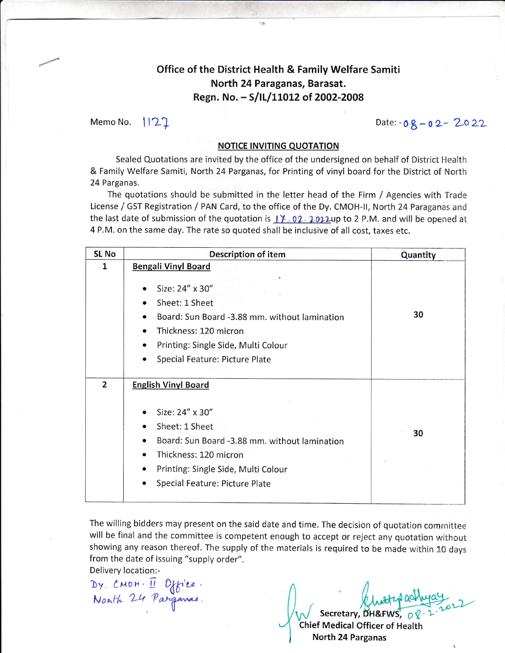### Office of the District Health & Family Welfare Samiti North 24 Paraganas, Barasat. Regn. No. - S/IL/11012 of 2002-2008

Memo No.  $1122$ 

### **NOTICE INVITING QUOTATION**

Sealed Quotations are invited by the office of the undersigned on behalf of District Health & Family Welfare Samiti, North 24 Parganas, for Printing of vinyl board for the District of Nortlr 24 Parganas.

The quotations should be submitted in the letter head of the Firm / Agencies with Trade License / GST Registration / PAN Card, to the office of the Dy. CMOH-II, North 24 Paraganas and the last date of submission of the quotation is  $\frac{17}{102}$ . 2022up to 2 P.M. and will be opened at 4 P.M. on the same day. The rate so quoted shall be inclusive of all cost, taxes etc.

| <b>SL No</b>   | <b>Description of item</b>                                                                                                                                                                                                       | Quantity |
|----------------|----------------------------------------------------------------------------------------------------------------------------------------------------------------------------------------------------------------------------------|----------|
| 1              | <b>Bengali Vinyl Board</b>                                                                                                                                                                                                       |          |
|                | Size: 24" x 30"<br>$\bullet$<br>Sheet: 1 Sheet<br>Board: Sun Board -3.88 mm. without lamination<br>Thickness: 120 micron<br>$\bullet$<br>Printing: Single Side, Multi Colour<br>$\bullet$<br>Special Feature: Picture Plate      | 30       |
| $\overline{2}$ | <b>English Vinyl Board</b>                                                                                                                                                                                                       |          |
|                | Size: 24" x 30"<br>Sheet: 1 Sheet<br>$\bullet$<br>Board: Sun Board -3.88 mm. without lamination<br>$\bullet$<br>Thickness: 120 micron<br>$\bullet$<br>Printing: Single Side, Multi Colour<br>٠<br>Special Feature: Picture Plate | 30       |

The willing bidders may present on the said date and time. The decision of quotation comrnittee will be final and the committee is competent enough to accept or reject any quotation without showing any reason thereof. The supply of the materials is required to be made within 10 days from the date of issuing "supply order".

Delivery location:-

 $Dy$ , CMOH.  $\vec{\mathbf{H}}$  Office.

Nonth 24 Pargamas.<br>Western BHAFWS, 08:2:2022 Chief Medical Officer of Health

North 24 Parganas